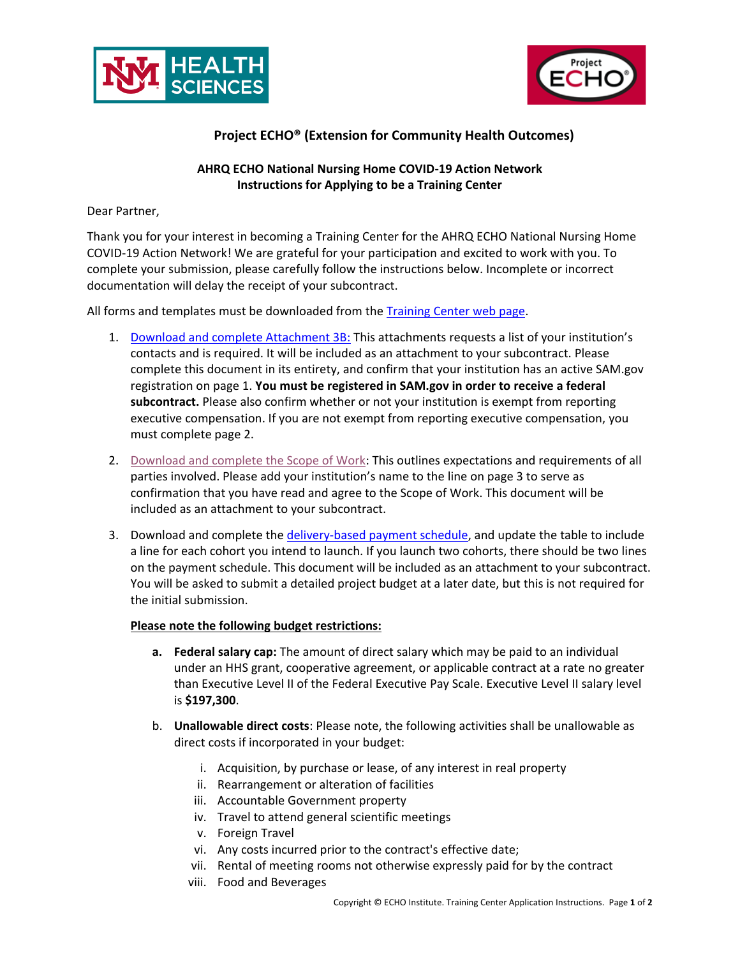



## **Project ECHO® (Extension for Community Health Outcomes)**

## **AHRQ ECHO National Nursing Home COVID-19 Action Network Instructions for Applying to be a Training Center**

Dear Partner,

Thank you for your interest in becoming a Training Center for the AHRQ ECHO National Nursing Home COVID-19 Action Network! We are grateful for your participation and excited to work with you. To complete your submission, please carefully follow the instructions below. Incomplete or incorrect documentation will delay the receipt of your subcontract.

All forms and templates must be downloaded from the Training [Center web page.](https://hsc.unm.edu/echo/institute-programs/nursing-home/pages/training-center.html)

- 1. [Download and complete Attachment 3B:](https://hsc.unm.edu/echo/_docs/nursing-home/attachment-3b.pdf) This attachments requests a list of your institution's contacts and is required. It will be included as an attachment to your subcontract. Please complete this document in its entirety, and confirm that your institution has an active SAM.gov registration on page 1. **You must be registered in SAM.gov in order to receive a federal subcontract.** Please also confirm whether or not your institution is exempt from reporting executive compensation. If you are not exempt from reporting executive compensation, you must complete page 2.
- 2. [Download and complete the Scope of Work:](https://hsc.unm.edu/echo/_docs/nursing-home/echo-nhcan-sow-102120.pdf) This outlines expectations and requirements of all parties involved. Please add your institution's name to the line on page 3 to serve as confirmation that you have read and agree to the Scope of Work. This document will be included as an attachment to your subcontract.
- 3. Download and complete the [delivery-based payment schedule,](https://hsc.unm.edu/echo/_docs/nursing-home/20201002-delivery_based_payment_scheduled.docx) and update the table to include a line for each cohort you intend to launch. If you launch two cohorts, there should be two lines on the payment schedule. This document will be included as an attachment to your subcontract. You will be asked to submit a detailed project budget at a later date, but this is not required for the initial submission.

## **Please note the following budget restrictions:**

- **a. Federal salary cap:** The amount of direct salary which may be paid to an individual under an HHS grant, cooperative agreement, or applicable contract at a rate no greater than Executive Level II of the Federal Executive Pay Scale. Executive Level II salary level is **\$197,300**.
- b. **Unallowable direct costs**: Please note, the following activities shall be unallowable as direct costs if incorporated in your budget:
	- i. Acquisition, by purchase or lease, of any interest in real property
	- ii. Rearrangement or alteration of facilities
	- iii. Accountable Government property
	- iv. Travel to attend general scientific meetings
	- v. Foreign Travel
	- vi. Any costs incurred prior to the contract's effective date;
	- vii. Rental of meeting rooms not otherwise expressly paid for by the contract
	- viii. Food and Beverages